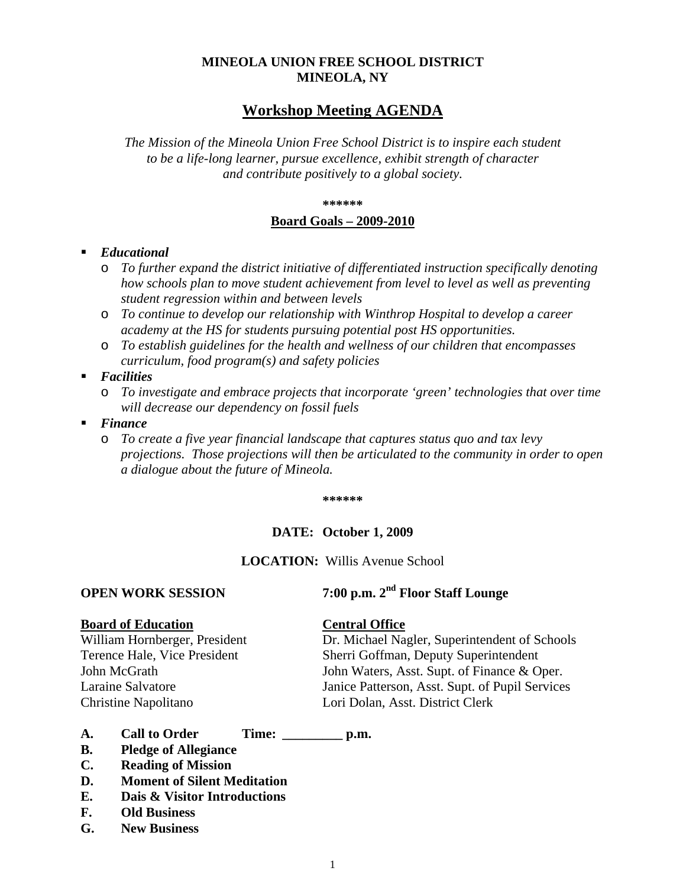## **MINEOLA UNION FREE SCHOOL DISTRICT MINEOLA, NY**

# **Workshop Meeting AGENDA**

*The Mission of the Mineola Union Free School District is to inspire each student to be a life-long learner, pursue excellence, exhibit strength of character and contribute positively to a global society.*

#### **\*\*\*\*\*\***

#### **Board Goals – 2009-2010**

### *Educational*

- o *To further expand the district initiative of differentiated instruction specifically denoting how schools plan to move student achievement from level to level as well as preventing student regression within and between levels*
- o *To continue to develop our relationship with Winthrop Hospital to develop a career academy at the HS for students pursuing potential post HS opportunities.*
- o *To establish guidelines for the health and wellness of our children that encompasses curriculum, food program(s) and safety policies*
- *Facilities* 
	- o *To investigate and embrace projects that incorporate 'green' technologies that over time will decrease our dependency on fossil fuels*
- *Finance* 
	- o *To create a five year financial landscape that captures status quo and tax levy projections. Those projections will then be articulated to the community in order to open a dialogue about the future of Mineola.*

**\*\*\*\*\*\***

#### **DATE: October 1, 2009**

### **LOCATION:** Willis Avenue School

# **OPEN WORK SESSION 7:00 p.m. 2nd Floor Staff Lounge**

**Board of Education**<br>William Hornberger, President **Central Office**<br>Dr. Michael Na

Dr. Michael Nagler, Superintendent of Schools Terence Hale, Vice President Sherri Goffman, Deputy Superintendent John McGrath John Waters, Asst. Supt. of Finance & Oper. Laraine Salvatore Janice Patterson, Asst. Supt. of Pupil Services Christine Napolitano Lori Dolan, Asst. District Clerk

- **A. Call to Order Time: \_\_\_\_\_\_\_\_\_ p.m.**
- **B. Pledge of Allegiance**
- **C. Reading of Mission**
- **D. Moment of Silent Meditation**
- **E. Dais & Visitor Introductions**
- **F. Old Business**
- **G. New Business**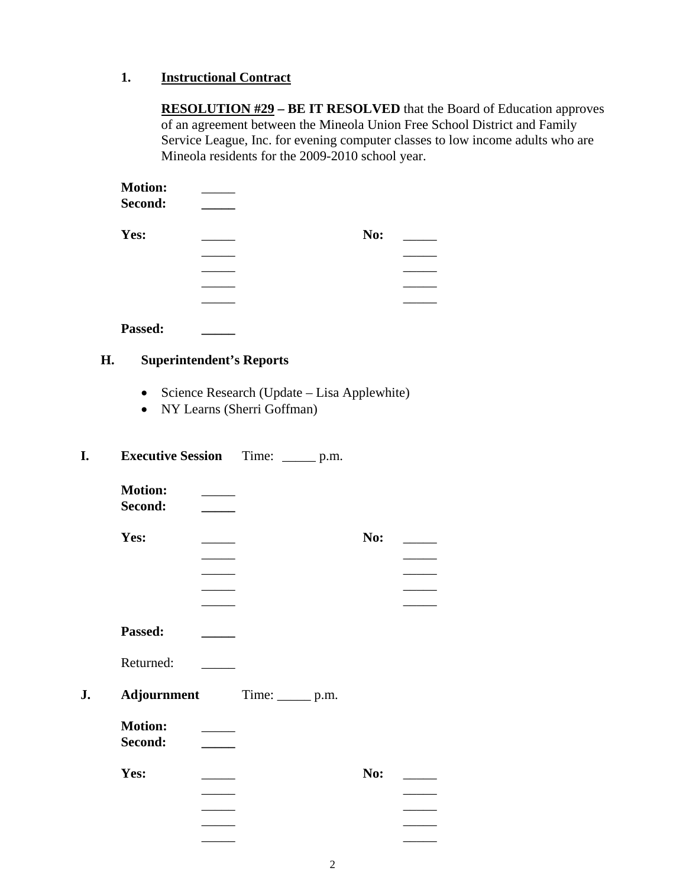## **1. Instructional Contract**

**RESOLUTION #29 – BE IT RESOLVED** that the Board of Education approves of an agreement between the Mineola Union Free School District and Family Service League, Inc. for evening computer classes to low income adults who are Mineola residents for the 2009-2010 school year.

| <b>Motion:</b> |     |  |
|----------------|-----|--|
| Second:        |     |  |
| Yes:           | No: |  |
|                |     |  |
|                |     |  |
|                |     |  |
|                |     |  |

**Passed: \_\_\_\_\_**

### **H. Superintendent's Reports**

- Science Research (Update Lisa Applewhite)
- NY Learns (Sherri Goffman)

## **I. Executive Session** Time: \_\_\_\_\_ p.m.

| <b>Motion:</b><br>Second: |                |     |  |
|---------------------------|----------------|-----|--|
| Yes:                      |                | No: |  |
| Passed:                   |                |     |  |
| Returned:                 |                |     |  |
| Adjournment               | $Time:$ $p.m.$ |     |  |
| <b>Motion:</b><br>Second: |                |     |  |
| Yes:                      |                | No: |  |
|                           |                |     |  |
|                           |                |     |  |
|                           |                |     |  |